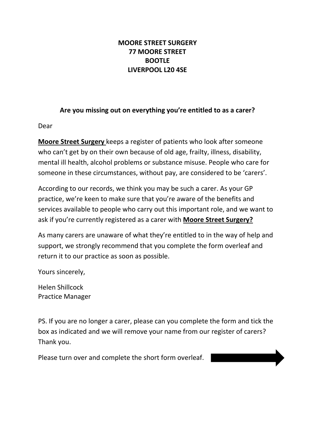## **MOORE STREET SURGERY 77 MOORE STREET BOOTLE LIVERPOOL L20 4SE**

## **Are you missing out on everything you're entitled to as a carer?**

Dear

**Moore Street Surgery** keeps a register of patients who look after someone who can't get by on their own because of old age, frailty, illness, disability, mental ill health, alcohol problems or substance misuse. People who care for someone in these circumstances, without pay, are considered to be 'carers'.

According to our records, we think you may be such a carer. As your GP practice, we're keen to make sure that you're aware of the benefits and services available to people who carry out this important role, and we want to ask if you're currently registered as a carer with **Moore Street Surgery?**

As many carers are unaware of what they're entitled to in the way of help and support, we strongly recommend that you complete the form overleaf and return it to our practice as soon as possible.

Yours sincerely,

Helen Shillcock Practice Manager

PS. If you are no longer a carer, please can you complete the form and tick the box as indicated and we will remove your name from our register of carers? Thank you.

Please turn over and complete the short form overleaf.